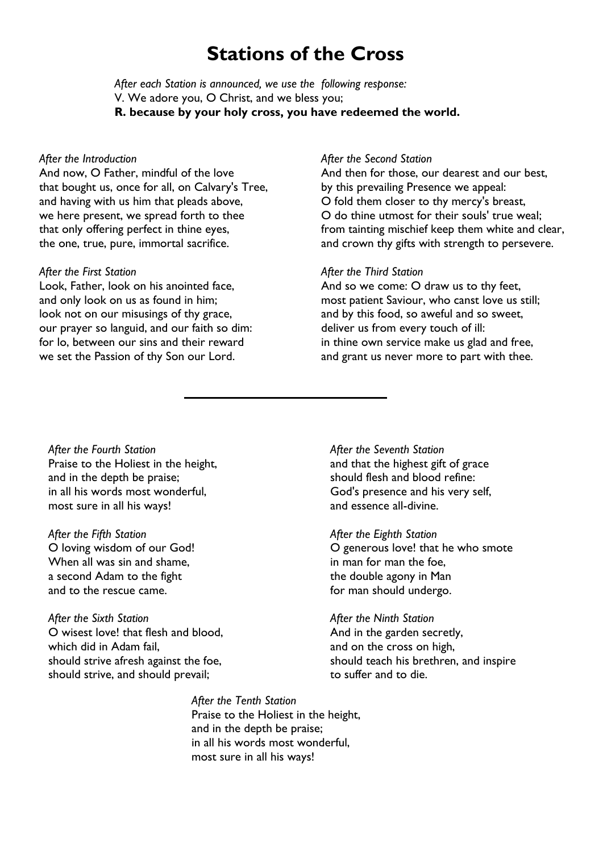# **Stations of the Cross**

*After each Station is announced, we use the following response:* V. We adore you, O Christ, and we bless you; **R. because by your holy cross, you have redeemed the world.**

#### *After the Introduction*

And now, O Father, mindful of the love that bought us, once for all, on Calvary's Tree, and having with us him that pleads above, we here present, we spread forth to thee that only offering perfect in thine eyes, the one, true, pure, immortal sacrifice.

## *After the First Station*

Look, Father, look on his anointed face, and only look on us as found in him; look not on our misusings of thy grace, our prayer so languid, and our faith so dim: for lo, between our sins and their reward we set the Passion of thy Son our Lord.

#### *After the Second Station*

And then for those, our dearest and our best, by this prevailing Presence we appeal: O fold them closer to thy mercy's breast, O do thine utmost for their souls' true weal; from tainting mischief keep them white and clear, and crown thy gifts with strength to persevere.

## *After the Third Station*

And so we come: O draw us to thy feet, most patient Saviour, who canst love us still; and by this food, so aweful and so sweet, deliver us from every touch of ill: in thine own service make us glad and free, and grant us never more to part with thee.

*After the Fourth Station* Praise to the Holiest in the height, and in the depth be praise; in all his words most wonderful, most sure in all his ways!

*After the Fifth Station* O loving wisdom of our God! When all was sin and shame, a second Adam to the fight and to the rescue came.

*After the Sixth Station* O wisest love! that flesh and blood, which did in Adam fail, should strive afresh against the foe, should strive, and should prevail;

*After the Seventh Station* and that the highest gift of grace should flesh and blood refine: God's presence and his very self, and essence all-divine.

*After the Eighth Station* O generous love! that he who smote in man for man the foe, the double agony in Man for man should undergo.

*After the Ninth Station* And in the garden secretly, and on the cross on high, should teach his brethren, and inspire to suffer and to die.

*After the Tenth Station* Praise to the Holiest in the height, and in the depth be praise; in all his words most wonderful, most sure in all his ways!